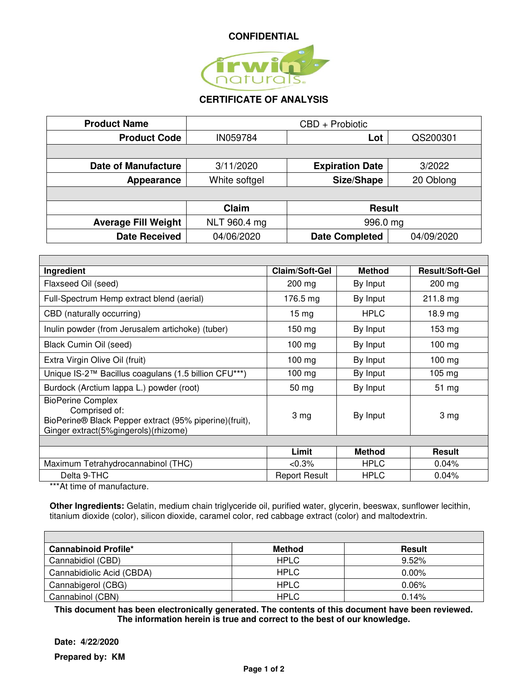

## **CERTIFICATE OF ANALYSIS**

| <b>Product Name</b>        | CBD + Probiotic |                        |            |
|----------------------------|-----------------|------------------------|------------|
| <b>Product Code</b>        | IN059784        | Lot                    | QS200301   |
|                            |                 |                        |            |
| <b>Date of Manufacture</b> | 3/11/2020       | <b>Expiration Date</b> | 3/2022     |
| Appearance                 | White softgel   | Size/Shape             | 20 Oblong  |
|                            |                 |                        |            |
|                            | Claim           | <b>Result</b>          |            |
| <b>Average Fill Weight</b> | NLT 960.4 mg    | 996.0 mg               |            |
| <b>Date Received</b>       | 04/06/2020      | <b>Date Completed</b>  | 04/09/2020 |

| Ingredient                                                                                                                                  | <b>Claim/Soft-Gel</b> | <b>Method</b> | <b>Result/Soft-Gel</b> |
|---------------------------------------------------------------------------------------------------------------------------------------------|-----------------------|---------------|------------------------|
| Flaxseed Oil (seed)                                                                                                                         | 200 mg                | By Input      | 200 mg                 |
| Full-Spectrum Hemp extract blend (aerial)                                                                                                   | 176.5 mg              | By Input      | $211.8 \text{ mg}$     |
| CBD (naturally occurring)                                                                                                                   | $15 \,\mathrm{mg}$    | <b>HPLC</b>   | $18.9$ mg              |
| Inulin powder (from Jerusalem artichoke) (tuber)                                                                                            | $150 \text{ mg}$      | By Input      | 153 mg                 |
| Black Cumin Oil (seed)                                                                                                                      | $100$ mg              | By Input      | $100 \text{ mg}$       |
| Extra Virgin Olive Oil (fruit)                                                                                                              | $100$ mg              | By Input      | $100 \text{ mg}$       |
| Unique IS-2™ Bacillus coagulans (1.5 billion CFU***)                                                                                        | $100$ mg              | By Input      | $105 \text{ mg}$       |
| Burdock (Arctium lappa L.) powder (root)                                                                                                    | $50 \, mg$            | By Input      | $51 \text{ mg}$        |
| <b>BioPerine Complex</b><br>Comprised of:<br>BioPerine® Black Pepper extract (95% piperine)(fruit),<br>Ginger extract(5%gingerols)(rhizome) | 3 <sub>mg</sub>       | By Input      | 3 mg                   |
|                                                                                                                                             |                       |               |                        |
|                                                                                                                                             | Limit                 | <b>Method</b> | <b>Result</b>          |
| Maximum Tetrahydrocannabinol (THC)                                                                                                          | $< 0.3\%$             | <b>HPLC</b>   | 0.04%                  |
| Delta 9-THC                                                                                                                                 | <b>Report Result</b>  | <b>HPLC</b>   | 0.04%                  |
| $***$ At time of manufacture                                                                                                                |                       |               |                        |

\*At time of manufacture.

**Other Ingredients:** Gelatin, medium chain triglyceride oil, purified water, glycerin, beeswax, sunflower lecithin, titanium dioxide (color), silicon dioxide, caramel color, red cabbage extract (color) and maltodextrin.

| <b>Cannabinoid Profile*</b> | <b>Method</b> | Result   |
|-----------------------------|---------------|----------|
| Cannabidiol (CBD)           | <b>HPLC</b>   | 9.52%    |
| Cannabidiolic Acid (CBDA)   | <b>HPLC</b>   | $0.00\%$ |
| Cannabigerol (CBG)          | <b>HPLC</b>   | $0.06\%$ |
| Cannabinol (CBN)            | <b>HPLC</b>   | 0.14%    |

**This document has been electronically generated. The contents of this document have been reviewed. The information herein is true and correct to the best of our knowledge.** 

**Date: 4/22/2020** 

**Prepared by: KM**